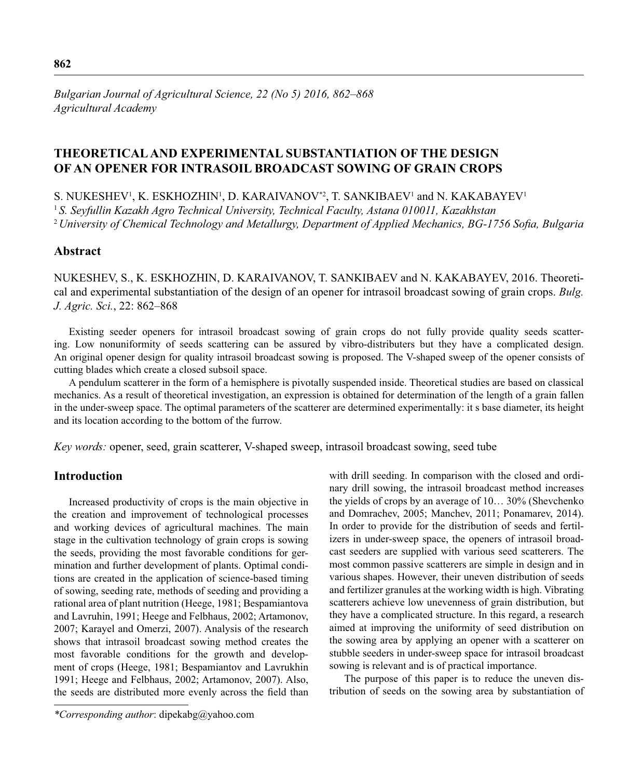*Bulgarian Journal of Agricultural Science, 22 (No 5) 2016, 862–868 Agricultural Academy*

# **THEORETICAL AND EXPERIMENTAL SUBSTANTIATION OF THE DESIGN OF AN OPENER FOR INTRASOIL BROADCAST SOWING OF GRAIN CROPS**

S. NUKESHEV<sup>1</sup>, K. ESKHOZHIN<sup>1</sup>, D. KARAIVANOV\*<sup>2</sup>, T. SANKIBAEV<sup>1</sup> and N. KAKABAYEV<sup>1</sup> <sup>1</sup>*S. Seyfullin Kazakh Agro Technical University, Technical Faculty, Astana 010011, Kazakhstan* <sup>2</sup> University of Chemical Technology and Metallurgy, Department of Applied Mechanics, BG-1756 Sofia, Bulgaria

### **Abstract**

NUKESHEV, S., K. ESKHOZHIN, D. KARAIVANOV, T. SANKIBAEV and N. KAKABAYEV, 2016. Theoretical and experimental substantiation of the design of an opener for intrasoil broadcast sowing of grain crops. *Bulg. J. Agric. Sci.*, 22: 862–868

Existing seeder openers for intrasoil broadcast sowing of grain crops do not fully provide quality seeds scattering. Low nonuniformity of seeds scattering can be assured by vibro-distributers but they have a complicated design. An original opener design for quality intrasoil broadcast sowing is proposed. The V-shaped sweep of the opener consists of cutting blades which create a closed subsoil space.

A pendulum scatterer in the form of a hemisphere is pivotally suspended inside. Theoretical studies are based on classical mechanics. As a result of theoretical investigation, an expression is obtained for determination of the length of a grain fallen in the under-sweep space. The optimal parameters of the scatterer are determined experimentally: it s base diameter, its height and its location according to the bottom of the furrow.

*Key words:* opener, seed, grain scatterer, V-shaped sweep, intrasoil broadcast sowing, seed tube

## **Introduction**

Increased productivity of crops is the main objective in the creation and improvement of technological processes and working devices of agricultural machines. The main stage in the cultivation technology of grain crops is sowing the seeds, providing the most favorable conditions for germination and further development of plants. Optimal conditions are created in the application of science-based timing of sowing, seeding rate, methods of seeding and providing a rational area of plant nutrition (Heege, 1981; Bespamiantova and Lavruhin, 1991; Heege and Felbhaus, 2002; Artamonov, 2007; Karayel and Omerzi, 2007). Analysis of the research shows that intrasoil broadcast sowing method creates the most favorable conditions for the growth and development of crops (Heege, 1981; Bespamiantov and Lavrukhin 1991; Heege and Felbhaus, 2002; Artamonov, 2007). Also, the seeds are distributed more evenly across the field than with drill seeding. In comparison with the closed and ordinary drill sowing, the intrasoil broadcast method increases the yields of crops by an average of 10… 30% (Shevchenko and Domrachev, 2005; Manchev, 2011; Ponamarev, 2014). In order to provide for the distribution of seeds and fertilizers in under-sweep space, the openers of intrasoil broadcast seeders are supplied with various seed scatterers. The most common passive scatterers are simple in design and in various shapes. However, their uneven distribution of seeds and fertilizer granules at the working width is high. Vibrating scatterers achieve low unevenness of grain distribution, but they have a complicated structure. In this regard, a research aimed at improving the uniformity of seed distribution on the sowing area by applying an opener with a scatterer on stubble seeders in under-sweep space for intrasoil broadcast sowing is relevant and is of practical importance.

The purpose of this paper is to reduce the uneven distribution of seeds on the sowing area by substantiation of

*<sup>\*</sup>Corresponding author*: dipekabg@yahoo.com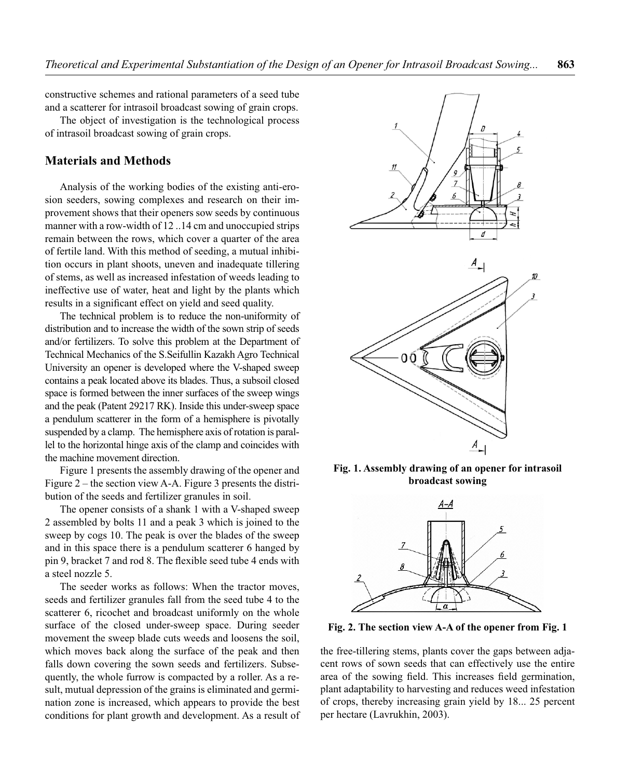constructive schemes and rational parameters of a seed tube and a scatterer for intrasoil broadcast sowing of grain crops.

The object of investigation is the technological process of intrasoil broadcast sowing of grain crops.

### **Materials and Methods**

Analysis of the working bodies of the existing anti-erosion seeders, sowing complexes and research on their improvement shows that their openers sow seeds by continuous manner with a row-width of 12 ..14 cm and unoccupied strips remain between the rows, which cover a quarter of the area of fertile land. With this method of seeding, a mutual inhibition occurs in plant shoots, uneven and inadequate tillering of stems, as well as increased infestation of weeds leading to ineffective use of water, heat and light by the plants which results in a significant effect on yield and seed quality.

The technical problem is to reduce the non-uniformity of distribution and to increase the width of the sown strip of seeds and/or fertilizers. To solve this problem at the Department of Technical Mechanics of the S.Seifullin Kazakh Agro Technical University an opener is developed where the V-shaped sweep contains a peak located above its blades. Thus, a subsoil closed space is formed between the inner surfaces of the sweep wings and the peak (Patent 29217 RK). Inside this under-sweep space a pendulum scatterer in the form of a hemisphere is pivotally suspended by a clamp. The hemisphere axis of rotation is parallel to the horizontal hinge axis of the clamp and coincides with the machine movement direction.

Figure 1 presents the assembly drawing of the opener and Figure 2 – the section view A-A. Figure 3 presents the distribution of the seeds and fertilizer granules in soil.

The opener consists of a shank 1 with a V-shaped sweep 2 assembled by bolts 11 and a peak 3 which is joined to the sweep by cogs 10. The peak is over the blades of the sweep and in this space there is a pendulum scatterer 6 hanged by pin 9, bracket 7 and rod 8. The flexible seed tube 4 ends with a steel nozzle 5.

The seeder works as follows: When the tractor moves, seeds and fertilizer granules fall from the seed tube 4 to the scatterer 6, ricochet and broadcast uniformly on the whole surface of the closed under-sweep space. During seeder movement the sweep blade cuts weeds and loosens the soil, which moves back along the surface of the peak and then falls down covering the sown seeds and fertilizers. Subsequently, the whole furrow is compacted by a roller. As a result, mutual depression of the grains is eliminated and germination zone is increased, which appears to provide the best conditions for plant growth and development. As a result of



**Fig. 1. Assembly drawing of an opener for intrasoil broadcast sowing**



**Fig. 2. The section view A-A of the opener from Fig. 1**

the free-tillering stems, plants cover the gaps between adjacent rows of sown seeds that can effectively use the entire area of the sowing field. This increases field germination, plant adaptability to harvesting and reduces weed infestation of crops, thereby increasing grain yield by 18... 25 percent per hectare (Lavrukhin, 2003).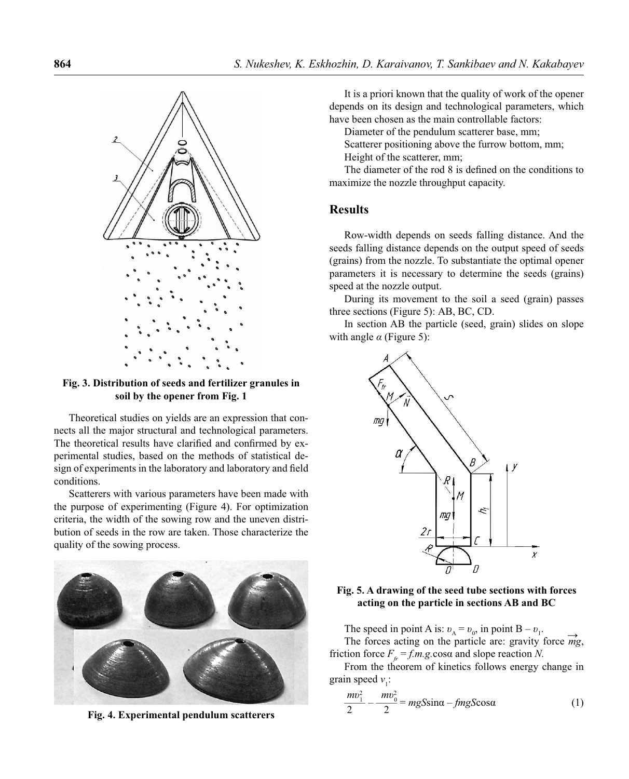

**Fig. 3. Distribution of seeds and fertilizer granules in soil by the opener from Fig. 1**

Theoretical studies on yields are an expression that connects all the major structural and technological parameters. The theoretical results have clarified and confirmed by experimental studies, based on the methods of statistical design of experiments in the laboratory and laboratory and field conditions.

Scatterers with various parameters have been made with the purpose of experimenting (Figure 4). For optimization criteria, the width of the sowing row and the uneven distribution of seeds in the row are taken. Those characterize the quality of the sowing process.



**Fig. 4. Experimental pendulum scatterers**

It is a priori known that the quality of work of the opener depends on its design and technological parameters, which have been chosen as the main controllable factors:

Diameter of the pendulum scatterer base, mm;

Scatterer positioning above the furrow bottom, mm; Height of the scatterer, mm;

The diameter of the rod 8 is defined on the conditions to maximize the nozzle throughput capacity.

### **Results**

Row-width depends on seeds falling distance. And the seeds falling distance depends on the output speed of seeds (grains) from the nozzle. To substantiate the optimal opener parameters it is necessary to determine the seeds (grains) speed at the nozzle output.

During its movement to the soil a seed (grain) passes three sections (Figure 5): АВ, ВС, СD.

In section AB the particle (seed, grain) slides on slope with angle *α* (Figure 5):



#### **Fig. 5. A drawing of the seed tube sections with forces acting on the particle in sections AB and BC**

The speed in point A is:  $v_A = v_0$ , in point B –  $v_1$ . The forces acting on the particle are: gravity force  $\overrightarrow{mg}$ , friction force  $F_f = f.m.g. \cos \alpha$  and slope reaction *N*.

From the theorem of kinetics follows energy change in grain speed  $v_1$ :

$$
\frac{mv_1^2}{2} - \frac{mv_0^2}{2} = mgS\sin\alpha - fmgS\cos\alpha
$$
 (1)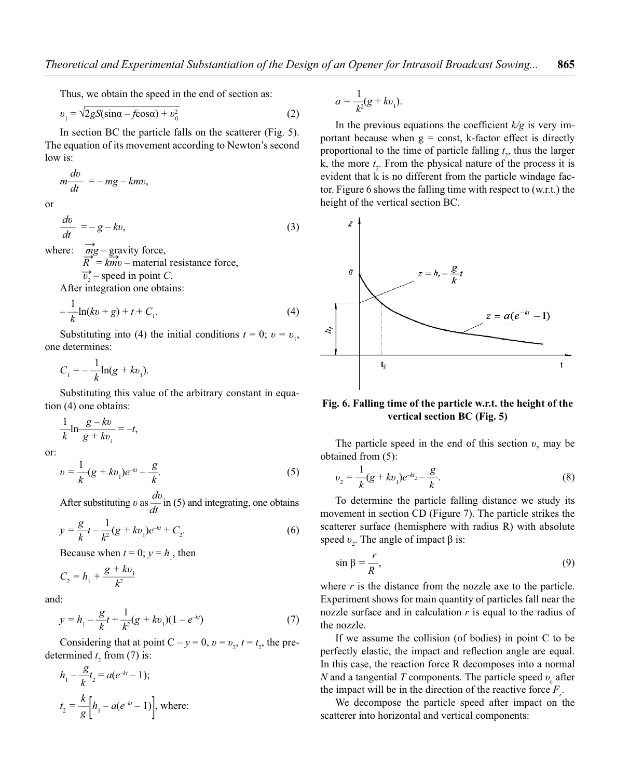Thus, we obtain the speed in the end of section as:

$$
v_1 = \sqrt{2gS(\sin\alpha - f\cos\alpha) + v_0^2}
$$
 (2)

In section BC the particle falls on the scatterer (Fig. 5). The equation of its movement according to Newton's second low is:

$$
m\frac{dv}{dt} = -mg - kmv,
$$

or

$$
\frac{dv}{dt} = -g - kv,\tag{3}
$$

where:  $\vec{mg}$  – gravity force,

 $\frac{m_S}{R}$  =  $\frac{gA}{R}$  – material resistance force,  $\overrightarrow{v_2}$  – speed in point *C*.

After integration one obtains:

$$
-\frac{1}{k}\ln(kv+g) + t + C_1.
$$
 (4)

Substituting into (4) the initial conditions  $t = 0$ ;  $v = v_1$ , one determines:

$$
C_1 = -\frac{1}{k} \ln(g + kv_1).
$$

Substituting this value of the arbitrary constant in equation (4) one obtains:

$$
\frac{1}{k}\ln\frac{g-kv}{g+kv_1} = -t,
$$

or:

$$
v = \frac{1}{k}(g + kv_1)e^{-kt} - \frac{g}{k}.
$$
 (5)

After substituting *v* as  $\frac{dv}{dt}$  in (5) and integrating, one obtains

$$
y = \frac{g}{k}t - \frac{1}{k^2}(g + kv_1)e^{-kt} + C_2.
$$
 (6)

Because when  $t = 0$ ;  $y = h_1$ , then

$$
C_2 = h_1 + \frac{g + kv_1}{k^2}
$$

and:

$$
y = h_1 - \frac{g}{k}t + \frac{1}{k^2}(g + kv_1)(1 - e^{-kt})
$$
\n(7)

Considering that at point  $C - y = 0$ ,  $v = v_2$ ,  $t = t_2$ , the predetermined  $t_2$  from (7) is:

$$
h_1 - \frac{g}{k}t_2 = a(e^{-kt} - 1);
$$
  

$$
t_2 = \frac{k}{g} \left[ h_1 - a(e^{-kt} - 1) \right], \text{ where:}
$$

$$
a = \frac{1}{k^2}(g + kv_1).
$$

In the previous equations the coefficient  $k/g$  is very important because when  $g = const$ , k-factor effect is directly proportional to the time of particle falling  $t_2$ , thus the larger k, the more  $t_2$ . From the physical nature of the process it is evident that k is no different from the particle windage factor. Figure 6 shows the falling time with respect to (w.r.t.) the height of the vertical section BC.



#### **Fig. 6. Falling time of the particle w.r.t. the height of the vertical section BC (Fig. 5)**

The particle speed in the end of this section  $v_2$  may be obtained from (5):

$$
v_2 = \frac{1}{k}(g + kv_1)e^{-kt_2} - \frac{g}{k}.
$$
 (8)

To determine the particle falling distance we study its movement in section CD (Figure 7). The particle strikes the scatterer surface (hemisphere with radius R) with absolute speed  $v_2$ . The angle of impact  $\beta$  is:

$$
\sin \beta = \frac{r}{R},\tag{9}
$$

where  $r$  is the distance from the nozzle axe to the particle. Experiment shows for main quantity of particles fall near the nozzle surface and in calculation *r* is equal to the radius of the nozzle.

If we assume the collision (of bodies) in point C to be perfectly elastic, the impact and reflection angle are equal. In this case, the reaction force R decomposes into a normal *N* and a tangential *T* components. The particle speed  $v_c$  after the impact will be in the direction of the reactive force  $F_r$ .

We decompose the particle speed after impact on the scatterer into horizontal and vertical components: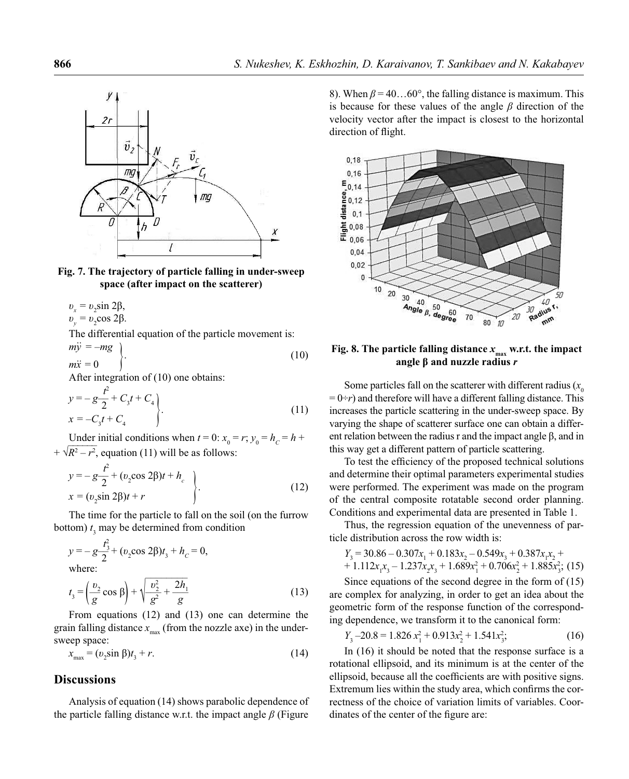

#### **Fig. 7. The trajectory of particle falling in under-sweep space (after impact on the scatterer)**

$$
v_x = v_2 \sin 2\beta,
$$
  
\n
$$
v_y = v_2 \cos 2\beta.
$$
  
\nThe differential equation  $\alpha$ 

al equation of the particle movement is:  $m\ddot{v} = -mg$ )

$$
m\ddot{y} = -mg
$$
  
\n
$$
m\ddot{x} = 0
$$
\n(10)

After integration of (10) one obtains:

$$
y = -g\frac{t^{2}}{2} + C_{3}t + C_{4}
$$
  
\n
$$
x = -C_{3}t + C_{4}
$$
\n(11)

Under initial conditions when  $t = 0$ :  $x_0 = r$ ;  $y_0 = h_c = h + \frac{R^2}{r^2}$  $+ \sqrt{R^2 - r^2}$ , equation (11) will be as follows:

$$
y = -g\frac{t^{2}}{2} + (v_{2}\cos 2\beta)t + h_{c}
$$
  
x = (v\_{2}\sin 2\beta)t + r (12)

The time for the particle to fall on the soil (on the furrow bottom)  $t_3$  may be determined from condition

$$
y = -g\frac{t_3^2}{2} + (v_2 \cos 2\beta)t_3 + h_c = 0,
$$
  
where:  
(1)

$$
t_3 = \left(\frac{v_2}{g}\cos\beta\right) + \sqrt{\frac{v_2^2}{g^2} + \frac{2h_1}{g}}
$$
(13)

From equations (12) and (13) one can determine the grain falling distance  $x_{\text{max}}$  (from the nozzle axe) in the undersweep space:

$$
x_{\text{max}} = (v_2 \sin \beta) t_3 + r. \tag{14}
$$

### **Discussions**

Analysis of equation (14) shows parabolic dependence of the particle falling distance w.r.t. the impact angle *β* (Figure

8). When  $\beta = 40...60^{\circ}$ , the falling distance is maximum. This is because for these values of the angle *β* direction of the velocity vector after the impact is closest to the horizontal direction of flight.



### **Fig. 8. The particle falling distance**  $x_{\text{max}}$  **w.r.t. the impact angle β and nuzzle radius** *r*

Some particles fall on the scatterer with different radius  $(x_0)$  $= 0 \div r$ ) and therefore will have a different falling distance. This increases the particle scattering in the under-sweep space. By varying the shape of scatterer surface one can obtain a different relation between the radius r and the impact angle β, and in this way get a different pattern of particle scattering.

To test the efficiency of the proposed technical solutions and determine their optimal parameters experimental studies were performed. The experiment was made on the program of the central composite rotatable second order planning. Conditions and experimental data are presented in Table 1.

Thus, the regression equation of the unevenness of particle distribution across the row width is:

$$
Y_3 = 30.86 - 0.307x_1 + 0.183x_2 - 0.549x_3 + 0.387x_1x_2 ++ 1.112x_1x_3 - 1.237x_2x_3 + 1.689x_1^2 + 0.706x_2^2 + 1.885x_3^2
$$
; (15)

Since equations of the second degree in the form of (15) are complex for analyzing, in order to get an idea about the geometric form of the response function of the corresponding dependence, we transform it to the canonical form:

$$
Y_3 - 20.8 = 1.826 x_1^2 + 0.913 x_2^2 + 1.541 x_3^2; \tag{16}
$$

In (16) it should be noted that the response surface is a rotational ellipsoid, and its minimum is at the center of the ellipsoid, because all the coefficients are with positive signs. Extremum lies within the study area, which confirms the correctness of the choice of variation limits of variables. Coordinates of the center of the figure are: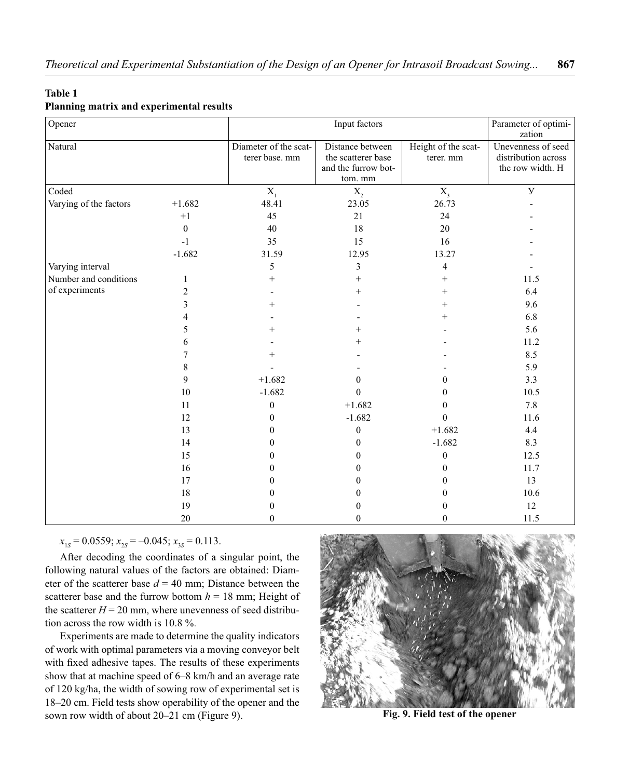### **Table 1**

### **Planning matrix and experimental results**

| Opener                 |                | Input factors                           |                                                                          |                                  | Parameter of optimi-<br>zation                                |
|------------------------|----------------|-----------------------------------------|--------------------------------------------------------------------------|----------------------------------|---------------------------------------------------------------|
| Natural                |                | Diameter of the scat-<br>terer base. mm | Distance between<br>the scatterer base<br>and the furrow bot-<br>tom. mm | Height of the scat-<br>terer. mm | Unevenness of seed<br>distribution across<br>the row width. H |
| Coded                  |                | $\mathbf{X}_{1}$                        | $X_{2}$                                                                  | $X_{3}$                          | $\mathbf{y}$                                                  |
| Varying of the factors | $+1.682$       | 48.41                                   | 23.05                                                                    | 26.73                            |                                                               |
|                        | $+1$           | 45                                      | 21                                                                       | 24                               |                                                               |
|                        | $\theta$       | 40                                      | 18                                                                       | 20                               |                                                               |
|                        | $-1$           | 35                                      | 15                                                                       | 16                               |                                                               |
|                        | $-1.682$       | 31.59                                   | 12.95                                                                    | 13.27                            |                                                               |
| Varying interval       |                | 5                                       | 3                                                                        | $\overline{4}$                   |                                                               |
| Number and conditions  | 1              | $^{+}$                                  | $^{+}$                                                                   | $^{+}$                           | 11.5                                                          |
| of experiments         | $\overline{c}$ |                                         | $^+$                                                                     | $^+$                             | 6.4                                                           |
|                        | 3              | $^{+}$                                  |                                                                          | $^{+}$                           | 9.6                                                           |
|                        | 4              |                                         |                                                                          | $^+$                             | 6.8                                                           |
|                        | 5              | $^+$                                    | $\hspace{0.1mm} +$                                                       |                                  | 5.6                                                           |
|                        | 6              |                                         | $^{+}$                                                                   |                                  | 11.2                                                          |
|                        | 7              | $^{+}$                                  |                                                                          |                                  | 8.5                                                           |
|                        | 8              |                                         |                                                                          |                                  | 5.9                                                           |
|                        | 9              | $+1.682$                                | $\mathbf{0}$                                                             | $\theta$                         | 3.3                                                           |
|                        | 10             | $-1.682$                                | $\Omega$                                                                 | $\theta$                         | 10.5                                                          |
|                        | 11             | $\boldsymbol{0}$                        | $+1.682$                                                                 | $\mathbf{0}$                     | 7.8                                                           |
|                        | 12             | 0                                       | $-1.682$                                                                 | $\mathbf{0}$                     | 11.6                                                          |
|                        | 13             | 0                                       | $\boldsymbol{0}$                                                         | $+1.682$                         | 4.4                                                           |
|                        | 14             | 0                                       | $\mathbf{0}$                                                             | $-1.682$                         | 8.3                                                           |
|                        | 15             | $^{(1)}$                                | 0                                                                        | $\boldsymbol{0}$                 | 12.5                                                          |
|                        | 16             | 0                                       | $\Omega$                                                                 | $\theta$                         | 11.7                                                          |
|                        | 17             | 0                                       | $\Omega$                                                                 | $\theta$                         | 13                                                            |
|                        | $18\,$         | $_{0}$                                  | 0                                                                        | $\theta$                         | 10.6                                                          |
|                        | 19             | $_{0}$                                  | 0                                                                        | $\theta$                         | 12                                                            |
|                        | 20             | 0                                       | $\theta$                                                                 | $\mathbf{0}$                     | 11.5                                                          |

 $x_{1S} = 0.0559; x_{2S} = -0.045; x_{3S} = 0.113.$ 

After decoding the coordinates of a singular point, the following natural values of the factors are obtained: Diameter of the scatterer base  $d = 40$  mm; Distance between the scatterer base and the furrow bottom  $h = 18$  mm; Height of the scatterer  $H = 20$  mm, where unevenness of seed distribution across the row width is 10.8 %.

Experiments are made to determine the quality indicators of work with optimal parameters via a moving conveyor belt with fixed adhesive tapes. The results of these experiments show that at machine speed of 6–8 km/h and an average rate of 120 kg/ha, the width of sowing row of experimental set is 18–20 cm. Field tests show operability of the opener and the sown row width of about 20–21 cm (Figure 9).



**Fig. 9. Field test of the opener**